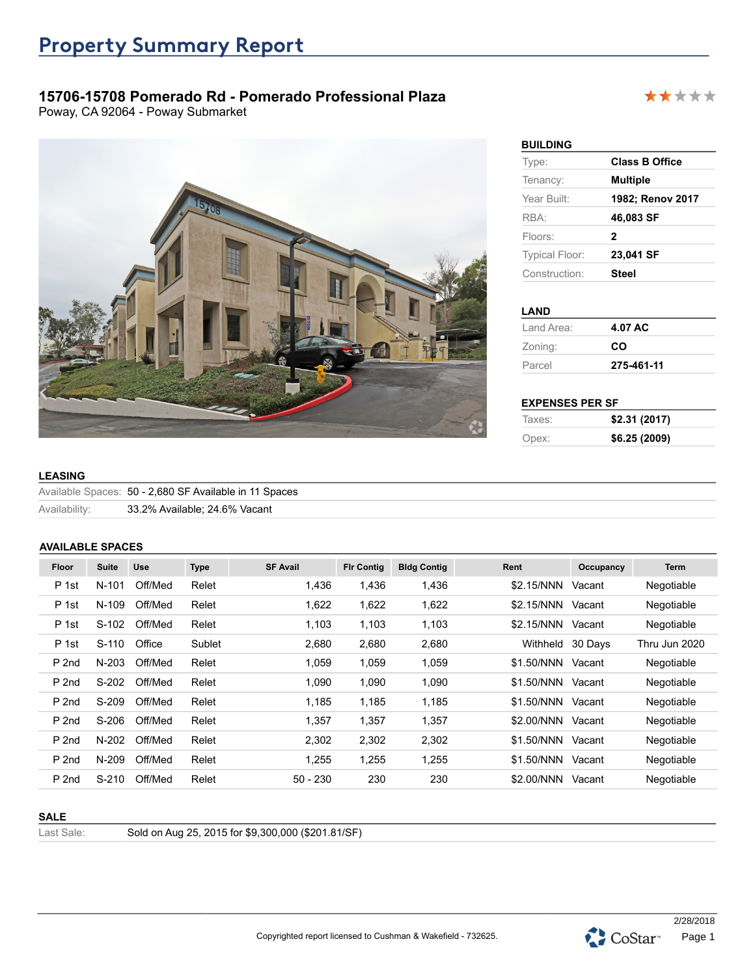# **15706-15708 Pomerado Rd - Pomerado Professional Plaza**

Poway, CA 92064 - Poway Submarket



# **BUILDING**

| -------               |                       |
|-----------------------|-----------------------|
| Type:                 | <b>Class B Office</b> |
| Tenancy:              | <b>Multiple</b>       |
| Year Built:           | 1982; Renov 2017      |
| RBA:                  | 46,083 SF             |
| Floors:               | 2                     |
| <b>Typical Floor:</b> | 23,041 SF             |
| Construction:         | <b>Steel</b>          |
|                       |                       |

#### **LAND**

| Land Area: | 4.07 AC    |
|------------|------------|
| Zoning:    | CO         |
| Parcel     | 275-461-11 |

#### **EXPENSES PER SF**

| Taxes: | \$2.31 (2017) |
|--------|---------------|
| Opex:  | \$6.25 (2009) |

#### **LEASING**

|               | Available Spaces: 50 - 2,680 SF Available in 11 Spaces |
|---------------|--------------------------------------------------------|
| Availability: | 33.2% Available; 24.6% Vacant                          |

#### **AVAILABLE SPACES**

| Floor<br>P 1st | <b>Suite</b><br>$N-101$ | Use<br>Off/Med | <b>Type</b> | <b>SF Avail</b> | <b>Fir Contig</b> | <b>Bldg Contig</b> |                  |           |               |
|----------------|-------------------------|----------------|-------------|-----------------|-------------------|--------------------|------------------|-----------|---------------|
|                |                         |                |             |                 |                   |                    | Rent             | Occupancy | Term          |
|                |                         |                | Relet       | 1,436           | 1,436             | 1,436              | \$2.15/NNN       | Vacant    | Negotiable    |
| P 1st          | N-109                   | Off/Med        | Relet       | 1,622           | 1,622             | 1,622              | \$2.15/NNN       | Vacant    | Negotiable    |
| P 1st          | S-102                   | Off/Med        | Relet       | 1,103           | 1,103             | 1,103              | \$2.15/NNN       | Vacant    | Negotiable    |
| P 1st          | $S-110$                 | Office         | Sublet      | 2,680           | 2,680             | 2,680              | Withheld 30 Days |           | Thru Jun 2020 |
| P 2nd          | $N-203$                 | Off/Med        | Relet       | 1,059           | 1,059             | 1,059              | \$1.50/NNN       | Vacant    | Negotiable    |
| P 2nd          | S-202                   | Off/Med        | Relet       | 1,090           | 1,090             | 1,090              | \$1.50/NNN       | Vacant    | Negotiable    |
| P 2nd          | S-209                   | Off/Med        | Relet       | 1,185           | 1,185             | 1,185              | \$1.50/NNN       | Vacant    | Negotiable    |
| P 2nd          | S-206                   | Off/Med        | Relet       | 1,357           | 1,357             | 1,357              | \$2.00/NNN       | Vacant    | Negotiable    |
| P 2nd          | N-202                   | Off/Med        | Relet       | 2,302           | 2,302             | 2,302              | \$1.50/NNN       | Vacant    | Negotiable    |
| P 2nd          | N-209                   | Off/Med        | Relet       | .255            | 1,255             | 1,255              | \$1.50/NNN       | Vacant    | Negotiable    |
| P 2nd          | $S-210$                 | Off/Med        | Relet       | $50 - 230$      | 230               | 230                | \$2.00/NNN       | Vacant    | Negotiable    |

#### **SALE**

Last Sale: Sold on Aug 25, 2015 for \$9,300,000 (\$201.81/SF)